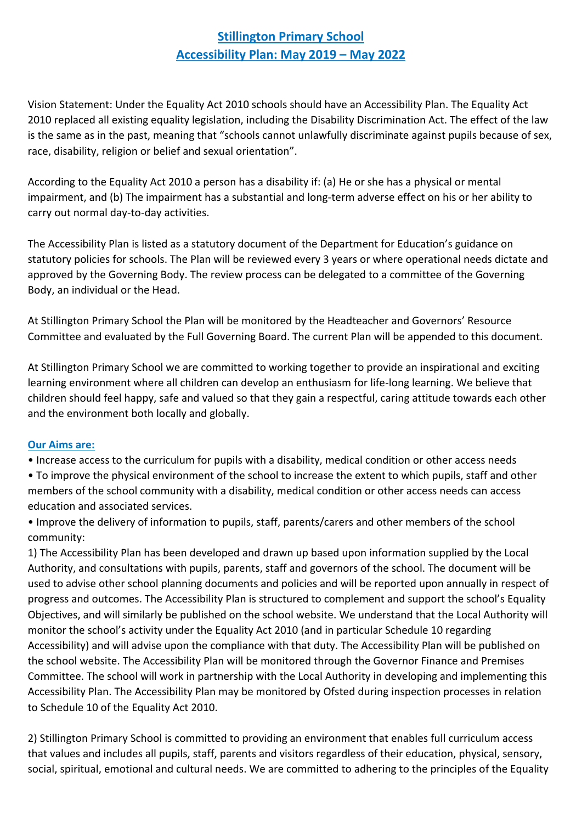## **Stillington Primary School Accessibility Plan: May 2019 – May 2022**

Vision Statement: Under the Equality Act 2010 schools should have an Accessibility Plan. The Equality Act 2010 replaced all existing equality legislation, including the Disability Discrimination Act. The effect of the law is the same as in the past, meaning that "schools cannot unlawfully discriminate against pupils because of sex, race, disability, religion or belief and sexual orientation".

According to the Equality Act 2010 a person has a disability if: (a) He or she has a physical or mental impairment, and (b) The impairment has a substantial and long-term adverse effect on his or her ability to carry out normal day-to-day activities.

The Accessibility Plan is listed as a statutory document of the Department for Education's guidance on statutory policies for schools. The Plan will be reviewed every 3 years or where operational needs dictate and approved by the Governing Body. The review process can be delegated to a committee of the Governing Body, an individual or the Head.

At Stillington Primary School the Plan will be monitored by the Headteacher and Governors' Resource Committee and evaluated by the Full Governing Board. The current Plan will be appended to this document.

At Stillington Primary School we are committed to working together to provide an inspirational and exciting learning environment where all children can develop an enthusiasm for life-long learning. We believe that children should feel happy, safe and valued so that they gain a respectful, caring attitude towards each other and the environment both locally and globally.

#### **Our Aims are:**

- Increase access to the curriculum for pupils with a disability, medical condition or other access needs
- To improve the physical environment of the school to increase the extent to which pupils, staff and other members of the school community with a disability, medical condition or other access needs can access education and associated services.
- Improve the delivery of information to pupils, staff, parents/carers and other members of the school community:

1) The Accessibility Plan has been developed and drawn up based upon information supplied by the Local Authority, and consultations with pupils, parents, staff and governors of the school. The document will be used to advise other school planning documents and policies and will be reported upon annually in respect of progress and outcomes. The Accessibility Plan is structured to complement and support the school's Equality Objectives, and will similarly be published on the school website. We understand that the Local Authority will monitor the school's activity under the Equality Act 2010 (and in particular Schedule 10 regarding Accessibility) and will advise upon the compliance with that duty. The Accessibility Plan will be published on the school website. The Accessibility Plan will be monitored through the Governor Finance and Premises Committee. The school will work in partnership with the Local Authority in developing and implementing this Accessibility Plan. The Accessibility Plan may be monitored by Ofsted during inspection processes in relation to Schedule 10 of the Equality Act 2010.

2) Stillington Primary School is committed to providing an environment that enables full curriculum access that values and includes all pupils, staff, parents and visitors regardless of their education, physical, sensory, social, spiritual, emotional and cultural needs. We are committed to adhering to the principles of the Equality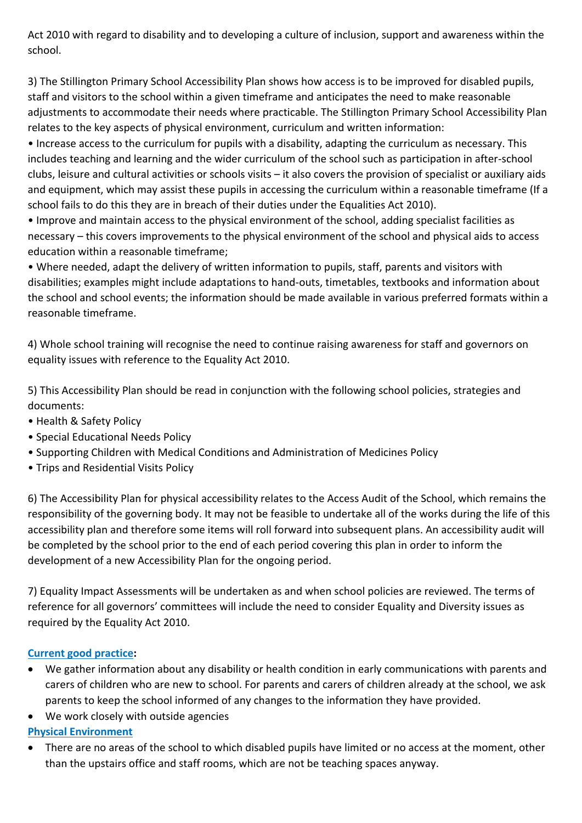Act 2010 with regard to disability and to developing a culture of inclusion, support and awareness within the school.

3) The Stillington Primary School Accessibility Plan shows how access is to be improved for disabled pupils, staff and visitors to the school within a given timeframe and anticipates the need to make reasonable adjustments to accommodate their needs where practicable. The Stillington Primary School Accessibility Plan relates to the key aspects of physical environment, curriculum and written information:

• Increase access to the curriculum for pupils with a disability, adapting the curriculum as necessary. This includes teaching and learning and the wider curriculum of the school such as participation in after-school clubs, leisure and cultural activities or schools visits – it also covers the provision of specialist or auxiliary aids and equipment, which may assist these pupils in accessing the curriculum within a reasonable timeframe (If a school fails to do this they are in breach of their duties under the Equalities Act 2010).

• Improve and maintain access to the physical environment of the school, adding specialist facilities as necessary – this covers improvements to the physical environment of the school and physical aids to access education within a reasonable timeframe;

• Where needed, adapt the delivery of written information to pupils, staff, parents and visitors with disabilities; examples might include adaptations to hand-outs, timetables, textbooks and information about the school and school events; the information should be made available in various preferred formats within a reasonable timeframe.

4) Whole school training will recognise the need to continue raising awareness for staff and governors on equality issues with reference to the Equality Act 2010.

5) This Accessibility Plan should be read in conjunction with the following school policies, strategies and documents:

- Health & Safety Policy
- Special Educational Needs Policy
- Supporting Children with Medical Conditions and Administration of Medicines Policy
- Trips and Residential Visits Policy

6) The Accessibility Plan for physical accessibility relates to the Access Audit of the School, which remains the responsibility of the governing body. It may not be feasible to undertake all of the works during the life of this accessibility plan and therefore some items will roll forward into subsequent plans. An accessibility audit will be completed by the school prior to the end of each period covering this plan in order to inform the development of a new Accessibility Plan for the ongoing period.

7) Equality Impact Assessments will be undertaken as and when school policies are reviewed. The terms of reference for all governors' committees will include the need to consider Equality and Diversity issues as required by the Equality Act 2010.

### **Current good practice:**

- We gather information about any disability or health condition in early communications with parents and carers of children who are new to school. For parents and carers of children already at the school, we ask parents to keep the school informed of any changes to the information they have provided.
- We work closely with outside agencies

### **Physical Environment**

• There are no areas of the school to which disabled pupils have limited or no access at the moment, other than the upstairs office and staff rooms, which are not be teaching spaces anyway.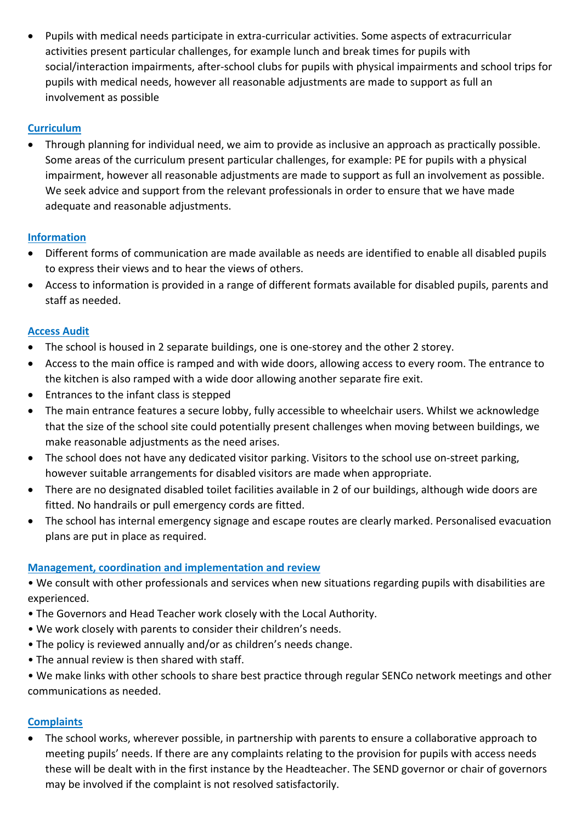• Pupils with medical needs participate in extra-curricular activities. Some aspects of extracurricular activities present particular challenges, for example lunch and break times for pupils with social/interaction impairments, after-school clubs for pupils with physical impairments and school trips for pupils with medical needs, however all reasonable adjustments are made to support as full an involvement as possible

### **Curriculum**

• Through planning for individual need, we aim to provide as inclusive an approach as practically possible. Some areas of the curriculum present particular challenges, for example: PE for pupils with a physical impairment, however all reasonable adjustments are made to support as full an involvement as possible. We seek advice and support from the relevant professionals in order to ensure that we have made adequate and reasonable adjustments.

### **Information**

- Different forms of communication are made available as needs are identified to enable all disabled pupils to express their views and to hear the views of others.
- Access to information is provided in a range of different formats available for disabled pupils, parents and staff as needed.

### **Access Audit**

- The school is housed in 2 separate buildings, one is one-storey and the other 2 storey.
- Access to the main office is ramped and with wide doors, allowing access to every room. The entrance to the kitchen is also ramped with a wide door allowing another separate fire exit.
- Entrances to the infant class is stepped
- The main entrance features a secure lobby, fully accessible to wheelchair users. Whilst we acknowledge that the size of the school site could potentially present challenges when moving between buildings, we make reasonable adjustments as the need arises.
- The school does not have any dedicated visitor parking. Visitors to the school use on-street parking, however suitable arrangements for disabled visitors are made when appropriate.
- There are no designated disabled toilet facilities available in 2 of our buildings, although wide doors are fitted. No handrails or pull emergency cords are fitted.
- The school has internal emergency signage and escape routes are clearly marked. Personalised evacuation plans are put in place as required.

### **Management, coordination and implementation and review**

- We consult with other professionals and services when new situations regarding pupils with disabilities are experienced.
- The Governors and Head Teacher work closely with the Local Authority.
- We work closely with parents to consider their children's needs.
- The policy is reviewed annually and/or as children's needs change.
- The annual review is then shared with staff.

• We make links with other schools to share best practice through regular SENCo network meetings and other communications as needed.

### **Complaints**

• The school works, wherever possible, in partnership with parents to ensure a collaborative approach to meeting pupils' needs. If there are any complaints relating to the provision for pupils with access needs these will be dealt with in the first instance by the Headteacher. The SEND governor or chair of governors may be involved if the complaint is not resolved satisfactorily.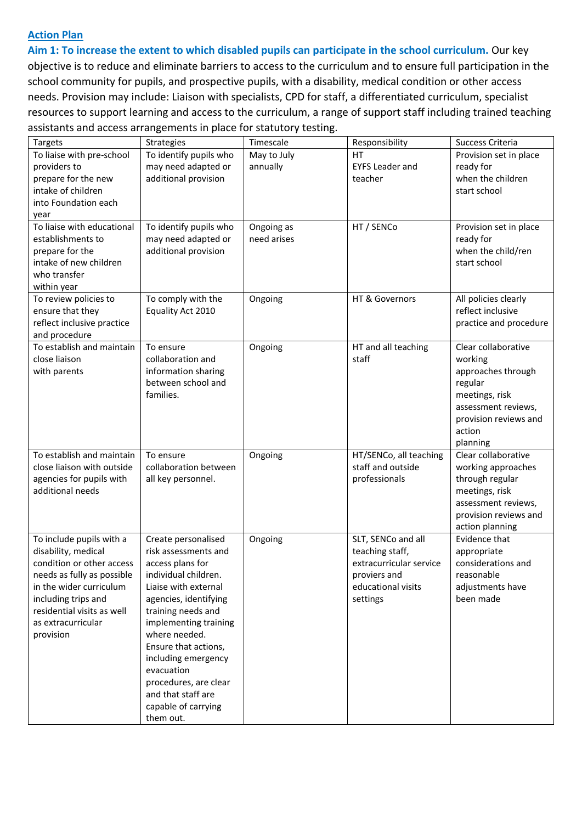#### **Action Plan**

**Aim 1: To increase the extent to which disabled pupils can participate in the school curriculum.** Our key objective is to reduce and eliminate barriers to access to the curriculum and to ensure full participation in the school community for pupils, and prospective pupils, with a disability, medical condition or other access needs. Provision may include: Liaison with specialists, CPD for staff, a differentiated curriculum, specialist resources to support learning and access to the curriculum, a range of support staff including trained teaching assistants and access arrangements in place for statutory testing.

|                            | assistants and access arrangements in place for statutory testing. |             |                         |                        |
|----------------------------|--------------------------------------------------------------------|-------------|-------------------------|------------------------|
| <b>Targets</b>             | Strategies                                                         | Timescale   | Responsibility          | Success Criteria       |
| To liaise with pre-school  | To identify pupils who                                             | May to July | <b>HT</b>               | Provision set in place |
| providers to               | may need adapted or                                                | annually    | <b>EYFS Leader and</b>  | ready for              |
| prepare for the new        | additional provision                                               |             | teacher                 | when the children      |
| intake of children         |                                                                    |             |                         | start school           |
| into Foundation each       |                                                                    |             |                         |                        |
| year                       |                                                                    |             |                         |                        |
| To liaise with educational | To identify pupils who                                             | Ongoing as  | HT / SENCo              | Provision set in place |
| establishments to          | may need adapted or                                                | need arises |                         | ready for              |
| prepare for the            | additional provision                                               |             |                         | when the child/ren     |
| intake of new children     |                                                                    |             |                         | start school           |
| who transfer               |                                                                    |             |                         |                        |
| within year                |                                                                    |             |                         |                        |
| To review policies to      | To comply with the                                                 | Ongoing     | HT & Governors          | All policies clearly   |
| ensure that they           | Equality Act 2010                                                  |             |                         | reflect inclusive      |
| reflect inclusive practice |                                                                    |             |                         | practice and procedure |
| and procedure              |                                                                    |             |                         |                        |
| To establish and maintain  | To ensure                                                          | Ongoing     | HT and all teaching     | Clear collaborative    |
| close liaison              | collaboration and                                                  |             | staff                   | working                |
| with parents               | information sharing                                                |             |                         | approaches through     |
|                            | between school and                                                 |             |                         | regular                |
|                            | families.                                                          |             |                         | meetings, risk         |
|                            |                                                                    |             |                         | assessment reviews,    |
|                            |                                                                    |             |                         | provision reviews and  |
|                            |                                                                    |             |                         | action                 |
|                            |                                                                    |             |                         | planning               |
| To establish and maintain  | To ensure                                                          | Ongoing     | HT/SENCo, all teaching  | Clear collaborative    |
| close liaison with outside | collaboration between                                              |             | staff and outside       | working approaches     |
| agencies for pupils with   | all key personnel.                                                 |             | professionals           | through regular        |
| additional needs           |                                                                    |             |                         | meetings, risk         |
|                            |                                                                    |             |                         | assessment reviews,    |
|                            |                                                                    |             |                         | provision reviews and  |
|                            |                                                                    |             |                         | action planning        |
| To include pupils with a   | Create personalised                                                |             | SLT, SENCo and all      | Evidence that          |
|                            | risk assessments and                                               | Ongoing     | teaching staff,         |                        |
| disability, medical        |                                                                    |             |                         | appropriate            |
| condition or other access  | access plans for                                                   |             | extracurricular service | considerations and     |
| needs as fully as possible | individual children.                                               |             | proviers and            | reasonable             |
| in the wider curriculum    | Liaise with external                                               |             | educational visits      | adjustments have       |
| including trips and        | agencies, identifying                                              |             | settings                | been made              |
| residential visits as well | training needs and                                                 |             |                         |                        |
| as extracurricular         | implementing training                                              |             |                         |                        |
| provision                  | where needed.                                                      |             |                         |                        |
|                            | Ensure that actions,                                               |             |                         |                        |
|                            | including emergency                                                |             |                         |                        |
|                            | evacuation                                                         |             |                         |                        |
|                            | procedures, are clear                                              |             |                         |                        |
|                            | and that staff are                                                 |             |                         |                        |
|                            | capable of carrying                                                |             |                         |                        |
|                            | them out.                                                          |             |                         |                        |